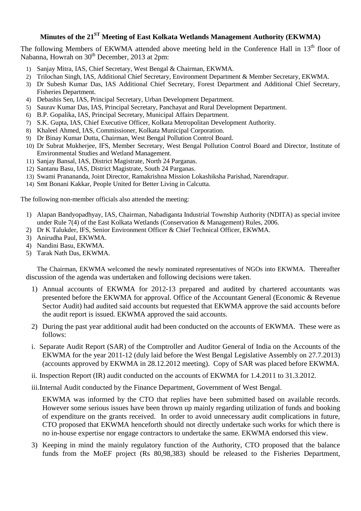## **Minutes of the 21ST Meeting of East Kolkata Wetlands Management Authority (EKWMA)**

The following Members of EKWMA attended above meeting held in the Conference Hall in 13<sup>th</sup> floor of Nabanna, Howrah on 30<sup>th</sup> December, 2013 at 2pm:

- 1) Sanjay Mitra, IAS, Chief Secretary, West Bengal & Chairman, EKWMA.
- 2) Trilochan Singh, IAS, Additional Chief Secretary, Environment Department & Member Secretary, EKWMA.
- 3) Dr Subesh Kumar Das, IAS Additional Chief Secretary, Forest Department and Additional Chief Secretary, Fisheries Department.
- 4) Debashis Sen, IAS, Principal Secretary, Urban Development Department.
- 5) Saurav Kumar Das, IAS, Principal Secretary, Panchayat and Rural Development Department.
- 6) B.P. Gopalika, IAS, Principal Secretary, Municipal Affairs Department.
- 7) S.K. Gupta, IAS, Chief Executive Officer, Kolkata Metropolitan Development Authority.
- 8) Khaleel Ahmed, IAS, Commissioner, Kolkata Municipal Corporation.
- 9) Dr Binay Kumar Dutta, Chairman, West Bengal Pollution Control Board.
- 10) Dr Subrat Mukherjee, IFS, Member Secretary, West Bengal Pollution Control Board and Director, Institute of Environmental Studies and Wetland Management.
- 11) Sanjay Bansal, IAS, District Magistrate, North 24 Parganas.
- 12) Santanu Basu, IAS, District Magistrate, South 24 Parganas.
- 13) Swami Pranananda, Joint Director, Ramakrishna Mission Lokashiksha Parishad, Narendrapur.
- 14) Smt Bonani Kakkar, People United for Better Living in Calcutta.

The following non-member officials also attended the meeting:

- 1) Alapan Bandyopadhyay, IAS, Chairman, Nabadiganta Industrial Township Authority (NDITA) as special invitee under Rule 7(4) of the East Kolkata Wetlands (Conservation & Management) Rules, 2006.
- 2) Dr K Talukder, IFS, Senior Environment Officer & Chief Technical Officer, EKWMA.
- 3) Anirudha Paul, EKWMA.
- 4) Nandini Basu, EKWMA.
- 5) Tarak Nath Das, EKWMA.

The Chairman, EKWMA welcomed the newly nominated representatives of NGOs into EKWMA. Thereafter discussion of the agenda was undertaken and following decisions were taken.

- 1) Annual accounts of EKWMA for 2012-13 prepared and audited by chartered accountants was presented before the EKWMA for approval. Office of the Accountant General (Economic & Revenue Sector Audit) had audited said accounts but requested that EKWMA approve the said accounts before the audit report is issued. EKWMA approved the said accounts.
- 2) During the past year additional audit had been conducted on the accounts of EKWMA. These were as follows:
- i. Separate Audit Report (SAR) of the Comptroller and Auditor General of India on the Accounts of the EKWMA for the year 2011-12 (duly laid before the West Bengal Legislative Assembly on 27.7.2013) (accounts approved by EKWMA in 28.12.2012 meeting). Copy of SAR was placed before EKWMA.
- ii. Inspection Report (IR) audit conducted on the accounts of EKWMA for 1.4.2011 to 31.3.2012.

iii.Internal Audit conducted by the Finance Department, Government of West Bengal.

EKWMA was informed by the CTO that replies have been submitted based on available records. However some serious issues have been thrown up mainly regarding utilization of funds and booking of expenditure on the grants received. In order to avoid unnecessary audit complications in future, CTO proposed that EKWMA henceforth should not directly undertake such works for which there is no in-house expertise nor engage contractors to undertake the same. EKWMA endorsed this view.

3) Keeping in mind the mainly regulatory function of the Authority, CTO proposed that the balance funds from the MoEF project (Rs 80,98,383) should be released to the Fisheries Department,